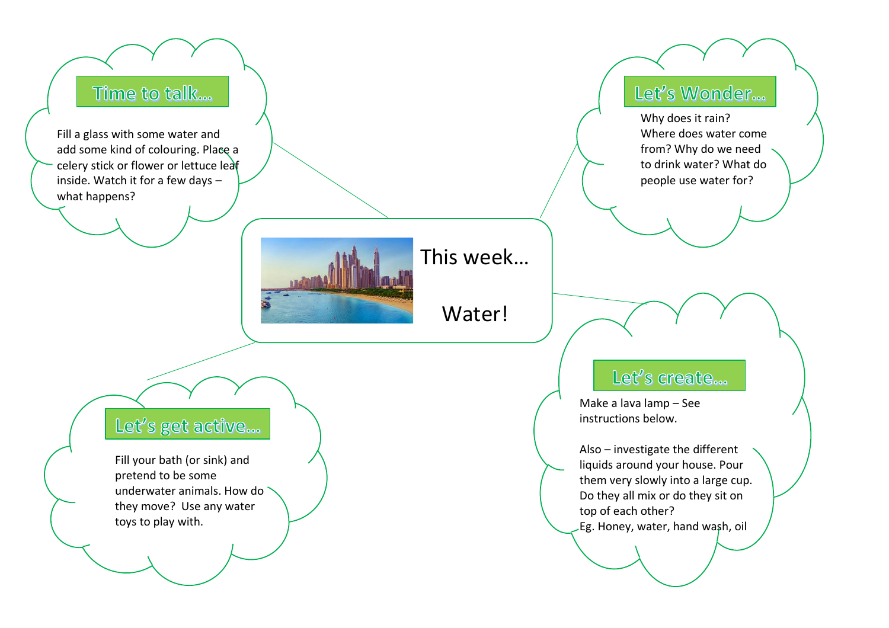